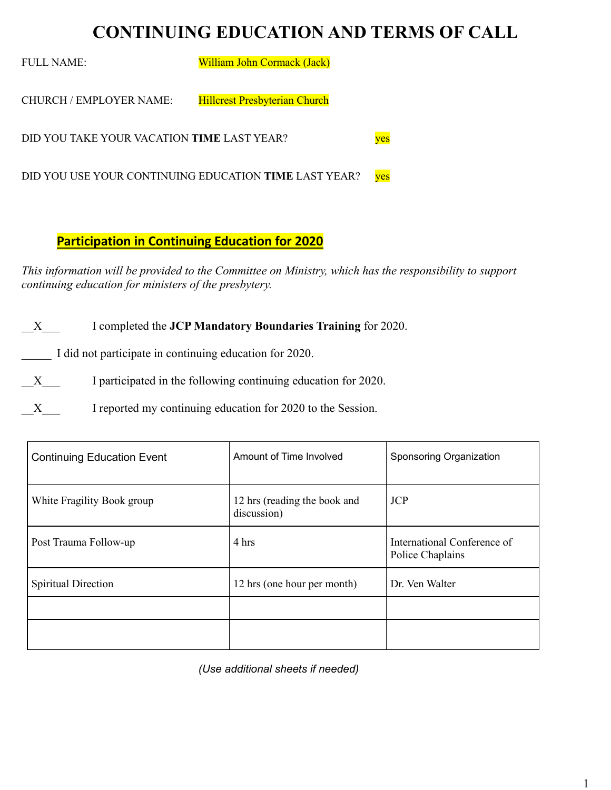# **CONTINUING EDUCATION AND TERMS OF CALL**

FULL NAME: William John Cormack (Jack) CHURCH / EMPLOYER NAME: Hillcrest Presbyterian Church DID YOU TAKE YOUR VACATION **TIME** LAST YEAR? DID YOU USE YOUR CONTINUING EDUCATION TIME LAST YEAR? yes

### **Participation in Continuing Education for 2020**

*This information will be provided to the Committee on Ministry, which has the responsibility to support continuing education for ministers of the presbytery.* 

\_\_X\_\_\_ I completed the **JCP Mandatory Boundaries Training** for 2020.

I did not participate in continuing education for 2020.

X I participated in the following continuing education for 2020.

X I reported my continuing education for 2020 to the Session.

| <b>Continuing Education Event</b> | Amount of Time Involved                     | Sponsoring Organization                         |
|-----------------------------------|---------------------------------------------|-------------------------------------------------|
| White Fragility Book group        | 12 hrs (reading the book and<br>discussion) | <b>JCP</b>                                      |
| Post Trauma Follow-up             | 4 hrs                                       | International Conference of<br>Police Chaplains |
| Spiritual Direction               | 12 hrs (one hour per month)                 | Dr. Ven Walter                                  |
|                                   |                                             |                                                 |
|                                   |                                             |                                                 |

*(Use additional sheets if needed)*